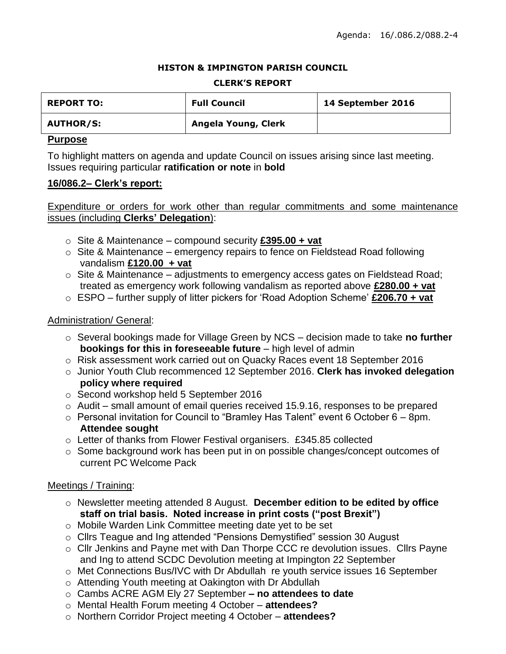#### **HISTON & IMPINGTON PARISH COUNCIL**

#### **CLERK'S REPORT**

| <b>REPORT TO:</b> | <b>Full Council</b> | 14 September 2016 |
|-------------------|---------------------|-------------------|
| <b>AUTHOR/S:</b>  | Angela Young, Clerk |                   |

# **Purpose**

To highlight matters on agenda and update Council on issues arising since last meeting. Issues requiring particular **ratification or note** in **bold**

### **16/086.2– Clerk's report:**

# Expenditure or orders for work other than regular commitments and some maintenance issues (including **Clerks' Delegation**):

- o Site & Maintenance compound security **£395.00 + vat**
- $\circ$  Site & Maintenance emergency repairs to fence on Fieldstead Road following vandalism **£120.00 + vat**
- o Site & Maintenance adjustments to emergency access gates on Fieldstead Road; treated as emergency work following vandalism as reported above **£280.00 + vat**
- o ESPO further supply of litter pickers for 'Road Adoption Scheme' **£206.70 + vat**

# Administration/ General:

- o Several bookings made for Village Green by NCS decision made to take **no further bookings for this in foreseeable future** – high level of admin
- o Risk assessment work carried out on Quacky Races event 18 September 2016
- o Junior Youth Club recommenced 12 September 2016. **Clerk has invoked delegation policy where required**
- o Second workshop held 5 September 2016
- o Audit small amount of email queries received 15.9.16, responses to be prepared
- $\circ$  Personal invitation for Council to "Bramley Has Talent" event 6 October 6 8pm. **Attendee sought**
- o Letter of thanks from Flower Festival organisers. £345.85 collected
- o Some background work has been put in on possible changes/concept outcomes of current PC Welcome Pack

# Meetings / Training:

- o Newsletter meeting attended 8 August. **December edition to be edited by office staff on trial basis. Noted increase in print costs ("post Brexit")**
- o Mobile Warden Link Committee meeting date yet to be set
- o Cllrs Teague and Ing attended "Pensions Demystified" session 30 August
- o Cllr Jenkins and Payne met with Dan Thorpe CCC re devolution issues. Cllrs Payne and Ing to attend SCDC Devolution meeting at Impington 22 September
- o Met Connections Bus/IVC with Dr Abdullah re youth service issues 16 September
- o Attending Youth meeting at Oakington with Dr Abdullah
- o Cambs ACRE AGM Ely 27 September **– no attendees to date**
- o Mental Health Forum meeting 4 October **attendees?**
- o Northern Corridor Project meeting 4 October **attendees?**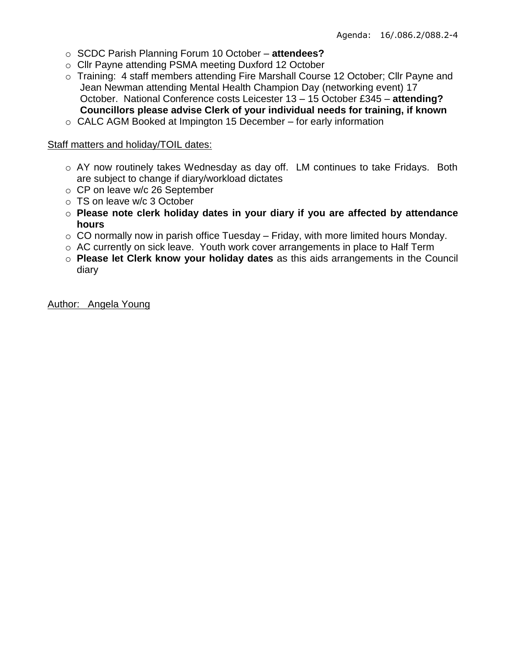- o SCDC Parish Planning Forum 10 October **attendees?**
- o Cllr Payne attending PSMA meeting Duxford 12 October
- o Training: 4 staff members attending Fire Marshall Course 12 October; Cllr Payne and Jean Newman attending Mental Health Champion Day (networking event) 17 October. National Conference costs Leicester 13 – 15 October £345 – **attending? Councillors please advise Clerk of your individual needs for training, if known**
- o CALC AGM Booked at Impington 15 December for early information

#### Staff matters and holiday/TOIL dates:

- o AY now routinely takes Wednesday as day off. LM continues to take Fridays. Both are subject to change if diary/workload dictates
- o CP on leave w/c 26 September
- o TS on leave w/c 3 October
- o **Please note clerk holiday dates in your diary if you are affected by attendance hours**
- $\circ$  CO normally now in parish office Tuesday Friday, with more limited hours Monday.
- o AC currently on sick leave. Youth work cover arrangements in place to Half Term
- o **Please let Clerk know your holiday dates** as this aids arrangements in the Council diary

Author: Angela Young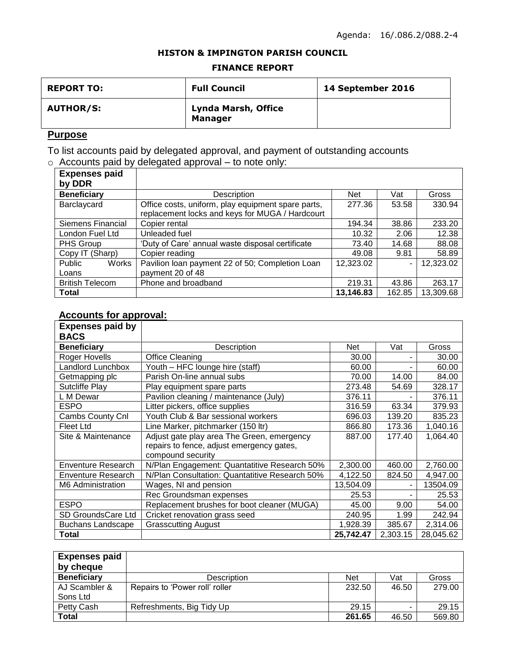#### **HISTON & IMPINGTON PARISH COUNCIL**

#### **FINANCE REPORT**

| <b>REPORT TO:</b> | <b>Full Council</b>                   | 14 September 2016 |
|-------------------|---------------------------------------|-------------------|
| <b>AUTHOR/S:</b>  | Lynda Marsh, Office<br><b>Manager</b> |                   |

# **Purpose**

To list accounts paid by delegated approval, and payment of outstanding accounts  $\circ$  Accounts paid by delegated approval – to note only:

| <b>Expenses paid</b>     |                                                    |            |        |           |
|--------------------------|----------------------------------------------------|------------|--------|-----------|
| by DDR                   |                                                    |            |        |           |
| <b>Beneficiary</b>       | Description                                        | <b>Net</b> | Vat    | Gross     |
| Barclaycard              | Office costs, uniform, play equipment spare parts, | 277.36     | 53.58  | 330.94    |
|                          | replacement locks and keys for MUGA / Hardcourt    |            |        |           |
| <b>Siemens Financial</b> | Copier rental                                      | 194.34     | 38.86  | 233.20    |
| London Fuel Ltd          | Unleaded fuel                                      | 10.32      | 2.06   | 12.38     |
| PHS Group                | 'Duty of Care' annual waste disposal certificate   | 73.40      | 14.68  | 88.08     |
| Copy IT (Sharp)          | Copier reading                                     | 49.08      | 9.81   | 58.89     |
| Public<br>Works          | Pavilion Ioan payment 22 of 50; Completion Loan    | 12,323.02  |        | 12,323.02 |
| Loans                    | payment 20 of 48                                   |            |        |           |
| <b>British Telecom</b>   | Phone and broadband                                | 219.31     | 43.86  | 263.17    |
| <b>Total</b>             |                                                    | 13,146.83  | 162.85 | 13,309.68 |

# **Accounts for approval:**

| <b>Expenses paid by</b><br><b>BACS</b> |                                                                |            |          |           |
|----------------------------------------|----------------------------------------------------------------|------------|----------|-----------|
| <b>Beneficiary</b>                     | Description                                                    | <b>Net</b> | Vat      | Gross     |
| Roger Hovells                          | <b>Office Cleaning</b>                                         | 30.00      |          | 30.00     |
| Landlord Lunchbox                      | Youth - HFC lounge hire (staff)                                | 60.00      |          | 60.00     |
| Getmapping plc                         | Parish On-line annual subs                                     | 70.00      | 14.00    | 84.00     |
| Sutcliffe Play                         | Play equipment spare parts                                     | 273.48     | 54.69    | 328.17    |
| L M Dewar                              | Pavilion cleaning / maintenance (July)                         | 376.11     |          | 376.11    |
| <b>ESPO</b>                            | Litter pickers, office supplies                                | 316.59     | 63.34    | 379.93    |
| Cambs County Cnl                       | Youth Club & Bar sessional workers                             | 696.03     | 139.20   | 835.23    |
| <b>Fleet Ltd</b>                       | Line Marker, pitchmarker (150 ltr)                             | 866.80     | 173.36   | 1,040.16  |
| Site & Maintenance                     | Adjust gate play area The Green, emergency                     | 887.00     | 177.40   | 1,064.40  |
|                                        | repairs to fence, adjust emergency gates,<br>compound security |            |          |           |
| Enventure Research                     | N/Plan Engagement: Quantatitive Research 50%                   | 2,300.00   | 460.00   | 2,760.00  |
| Enventure Research                     | N/Plan Consultation: Quantatitive Research 50%                 | 4,122.50   | 824.50   | 4,947.00  |
| M6 Administration                      | Wages, NI and pension                                          | 13,504.09  |          | 13504.09  |
|                                        | Rec Groundsman expenses                                        | 25.53      |          | 25.53     |
| <b>ESPO</b>                            | Replacement brushes for boot cleaner (MUGA)                    | 45.00      | 9.00     | 54.00     |
| <b>SD GroundsCare Ltd</b>              | Cricket renovation grass seed                                  | 240.95     | 1.99     | 242.94    |
| <b>Buchans Landscape</b>               | <b>Grasscutting August</b>                                     | 1,928.39   | 385.67   | 2,314.06  |
| <b>Total</b>                           |                                                                | 25,742.47  | 2,303.15 | 28,045.62 |

| <b>Expenses paid</b> |                                |            |       |        |
|----------------------|--------------------------------|------------|-------|--------|
| by cheque            |                                |            |       |        |
| <b>Beneficiary</b>   | Description                    | <b>Net</b> | Vat   | Gross  |
| AJ Scambler &        | Repairs to 'Power roll' roller | 232.50     | 46.50 | 279.00 |
| Sons Ltd             |                                |            |       |        |
| Petty Cash           | Refreshments, Big Tidy Up      | 29.15      |       | 29.15  |
| Total                |                                | 261.65     | 46.50 | 569.80 |